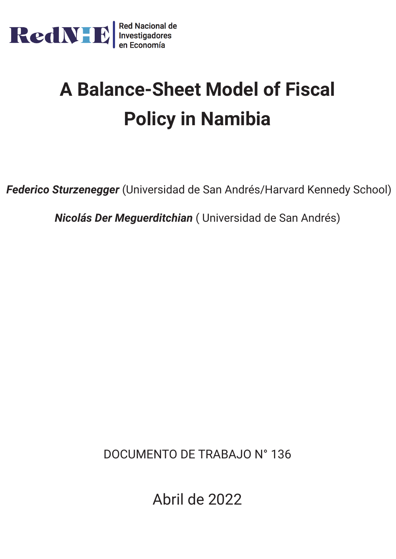

# **A Balance-Sheet Model of Fiscal Policy in Namibia**

*Federico Sturzenegger* (Universidad de San Andrés/Harvard Kennedy School)

*Nicolás Der Meguerditchian* ( Universidad de San Andrés)

DOCUMENTO DE TRABAJO N° 136

Abril de 2022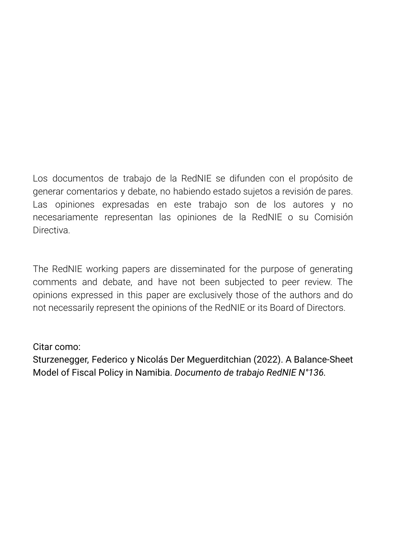Los documentos de trabajo de la RedNIE se difunden con el propósito de generar comentarios y debate, no habiendo estado sujetos a revisión de pares. Las opiniones expresadas en este trabajo son de los autores y no necesariamente representan las opiniones de la RedNIE o su Comisión **Directiva** 

The RedNIE working papers are disseminated for the purpose of generating comments and debate, and have not been subjected to peer review. The opinions expressed in this paper are exclusively those of the authors and do not necessarily represent the opinions of the RedNIE or its Board of Directors.

### Citar como:

Sturzenegger, Federico y Nicolás Der Meguerditchian (2022). A Balance-Sheet Model of Fiscal Policy in Namibia. *Documento de trabajo RedNIE N°136.*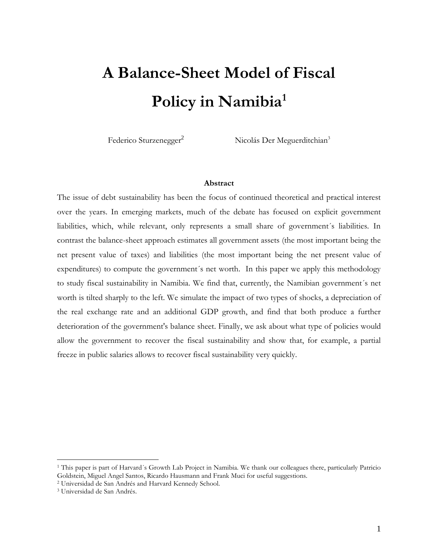## **A Balance-Sheet Model of Fiscal Policy in Namibia<sup>1</sup>**

Federico Sturzenegger<sup>2</sup> Nicolás Der Meguerditchian<sup>3</sup>

#### **Abstract**

The issue of debt sustainability has been the focus of continued theoretical and practical interest over the years. In emerging markets, much of the debate has focused on explicit government liabilities, which, while relevant, only represents a small share of government´s liabilities. In contrast the balance-sheet approach estimates all government assets (the most important being the net present value of taxes) and liabilities (the most important being the net present value of expenditures) to compute the government´s net worth. In this paper we apply this methodology to study fiscal sustainability in Namibia. We find that, currently, the Namibian government´s net worth is tilted sharply to the left. We simulate the impact of two types of shocks, a depreciation of the real exchange rate and an additional GDP growth, and find that both produce a further deterioration of the government's balance sheet. Finally, we ask about what type of policies would allow the government to recover the fiscal sustainability and show that, for example, a partial freeze in public salaries allows to recover fiscal sustainability very quickly.

<sup>1</sup> This paper is part of Harvard´s Growth Lab Project in Namibia. We thank our colleagues there, particularly Patricio Goldstein, Miguel Angel Santos, Ricardo Hausmann and Frank Muci for useful suggestions.

<sup>2</sup> Universidad de San Andrés and Harvard Kennedy School.

<sup>3</sup> Universidad de San Andrés.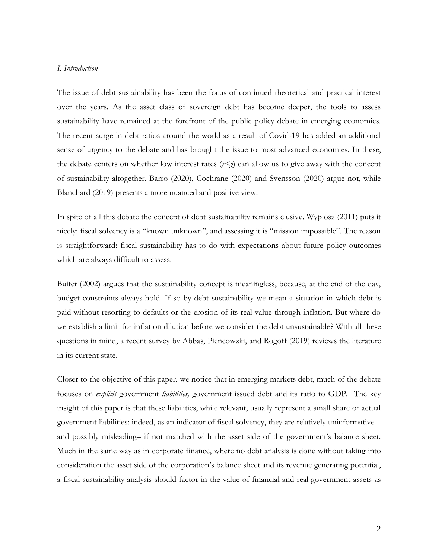#### *I. Introduction*

The issue of debt sustainability has been the focus of continued theoretical and practical interest over the years. As the asset class of sovereign debt has become deeper, the tools to assess sustainability have remained at the forefront of the public policy debate in emerging economies. The recent surge in debt ratios around the world as a result of Covid-19 has added an additional sense of urgency to the debate and has brought the issue to most advanced economies. In these, the debate centers on whether low interest rates  $(r \leq g)$  can allow us to give away with the concept of sustainability altogether. Barro (2020), Cochrane (2020) and Svensson (2020) argue not, while Blanchard (2019) presents a more nuanced and positive view.

In spite of all this debate the concept of debt sustainability remains elusive. Wyplosz (2011) puts it nicely: fiscal solvency is a "known unknown", and assessing it is "mission impossible". The reason is straightforward: fiscal sustainability has to do with expectations about future policy outcomes which are always difficult to assess.

Buiter (2002) argues that the sustainability concept is meaningless, because, at the end of the day, budget constraints always hold. If so by debt sustainability we mean a situation in which debt is paid without resorting to defaults or the erosion of its real value through inflation. But where do we establish a limit for inflation dilution before we consider the debt unsustainable? With all these questions in mind, a recent survey by Abbas, Piencowzki, and Rogoff (2019) reviews the literature in its current state.

Closer to the objective of this paper, we notice that in emerging markets debt, much of the debate focuses on *explicit* government *liabilities,* government issued debt and its ratio to GDP. The key insight of this paper is that these liabilities, while relevant, usually represent a small share of actual government liabilities: indeed, as an indicator of fiscal solvency, they are relatively uninformative – and possibly misleading– if not matched with the asset side of the government's balance sheet. Much in the same way as in corporate finance, where no debt analysis is done without taking into consideration the asset side of the corporation's balance sheet and its revenue generating potential, a fiscal sustainability analysis should factor in the value of financial and real government assets as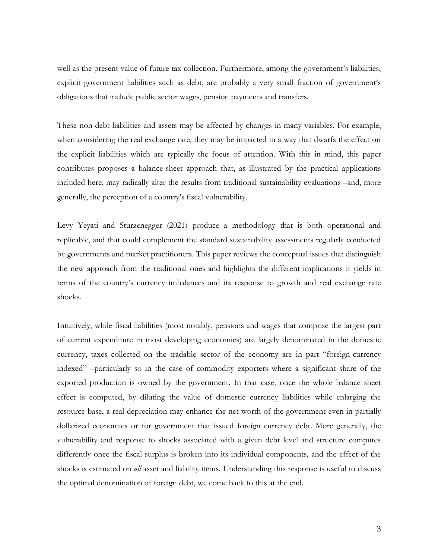well as the present value of future tax collection. Furthermore, among the government's liabilities, explicit government liabilities such as debt, are probably a very small fraction of government's obligations that include public sector wages, pension payments and transfers.

These non-debt liabilities and assets may be affected by changes in many variables. For example, when considering the real exchange rate, they may be impacted in a way that dwarfs the effect on the explicit liabilities which are typically the focus of attention. With this in mind, this paper contributes proposes a balance-sheet approach that, as illustrated by the practical applications included here, may radically alter the results from traditional sustainability evaluations –and, more generally, the perception of a country's fiscal vulnerability.

Levy Yeyati and Sturzenegger (2021) produce a methodology that is both operational and replicable, and that could complement the standard sustainability assessments regularly conducted by governments and market practitioners. This paper reviews the conceptual issues that distinguish the new approach from the traditional ones and highlights the different implications it yields in terms of the country's currency imbalances and its response to growth and real exchange rate shocks.

Intuitively, while fiscal liabilities (most notably, pensions and wages that comprise the largest part of current expenditure in most developing economies) are largely denominated in the domestic currency, taxes collected on the tradable sector of the economy are in part "foreign-currency indexed" –particularly so in the case of commodity exporters where a significant share of the exported production is owned by the government. In that case, once the whole balance sheet effect is computed, by diluting the value of domestic currency liabilities while enlarging the resource base, a real depreciation may enhance the net worth of the government even in partially dollarized economies or for government that issued foreign currency debt. More generally, the vulnerability and response to shocks associated with a given debt level and structure computes differently once the fiscal surplus is broken into its individual components, and the effect of the shocks is estimated on *all* asset and liability items. Understanding this response is useful to discuss the optimal denomination of foreign debt, we come back to this at the end.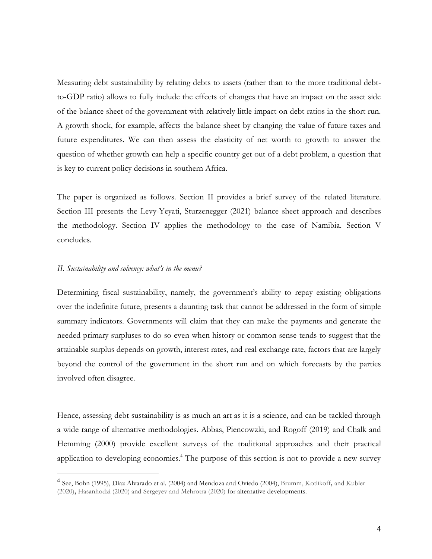Measuring debt sustainability by relating debts to assets (rather than to the more traditional debtto-GDP ratio) allows to fully include the effects of changes that have an impact on the asset side of the balance sheet of the government with relatively little impact on debt ratios in the short run. A growth shock, for example, affects the balance sheet by changing the value of future taxes and future expenditures. We can then assess the elasticity of net worth to growth to answer the question of whether growth can help a specific country get out of a debt problem, a question that is key to current policy decisions in southern Africa.

The paper is organized as follows. Section II provides a brief survey of the related literature. Section III presents the Levy-Yeyati, Sturzenegger (2021) balance sheet approach and describes the methodology. Section IV applies the methodology to the case of Namibia. Section V concludes.

#### *II. Sustainability and solvency: what's in the menu?*

 $\overline{a}$ 

Determining fiscal sustainability, namely, the government's ability to repay existing obligations over the indefinite future, presents a daunting task that cannot be addressed in the form of simple summary indicators. Governments will claim that they can make the payments and generate the needed primary surpluses to do so even when history or common sense tends to suggest that the attainable surplus depends on growth, interest rates, and real exchange rate, factors that are largely beyond the control of the government in the short run and on which forecasts by the parties involved often disagree.

Hence, assessing debt sustainability is as much an art as it is a science, and can be tackled through a wide range of alternative methodologies. Abbas, Piencowzki, and Rogoff (2019) and Chalk and Hemming (2000) provide excellent surveys of the traditional approaches and their practical application to developing economies. <sup>4</sup> The purpose of this section is not to provide a new survey

<sup>4</sup> See, Bohn (1995), Díaz Alvarado et al. (2004) and Mendoza and Oviedo (2004), Brumm, Kotlikoff**,** and Kubler (2020)**,** Hasanhodzi (2020) and Sergeyev and Mehrotra (2020) for alternative developments.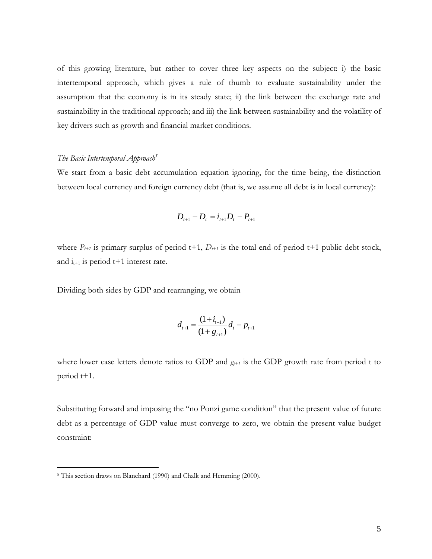of this growing literature, but rather to cover three key aspects on the subject: i) the basic intertemporal approach, which gives a rule of thumb to evaluate sustainability under the assumption that the economy is in its steady state; ii) the link between the exchange rate and sustainability in the traditional approach; and iii) the link between sustainability and the volatility of key drivers such as growth and financial market conditions.

#### *The Basic Intertemporal Approach<sup>5</sup>*

We start from a basic debt accumulation equation ignoring, for the time being, the distinction between local currency and foreign currency debt (that is, we assume all debt is in local currency):

$$
D_{t+1} - D_t = i_{t+1}D_t - P_{t+1}
$$

where  $P_{t+1}$  is primary surplus of period t+1,  $D_{t+1}$  is the total end-of-period t+1 public debt stock, and  $i_{t+1}$  is period t+1 interest rate.

Dividing both sides by GDP and rearranging, we obtain

$$
d_{t+1} = \frac{(1+i_{t+1})}{(1+g_{t+1})} d_t - p_{t+1}
$$

where lower case letters denote ratios to GDP and  $g_{t+1}$  is the GDP growth rate from period t to period t+1.

Substituting forward and imposing the "no Ponzi game condition" that the present value of future debt as a percentage of GDP value must converge to zero, we obtain the present value budget constraint:

<sup>5</sup> This section draws on Blanchard (1990) and Chalk and Hemming (2000).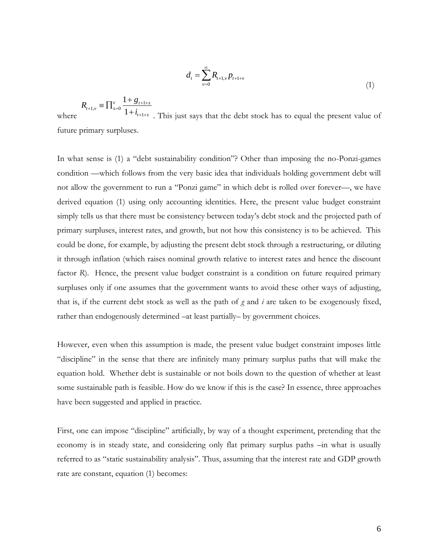$$
d_{t} = \sum_{v=0}^{\infty} R_{t+1,v} p_{t+1+v}
$$
\n(1)

$$
R_{t+1,v} \equiv \prod_{s=0}^{v} \frac{1+g_{t+1+s}}{1+i_{t+1+s}}
$$
. This just says that the debt stock has to equal the present value of

future primary surpluses.

In what sense is (1) a "debt sustainability condition"? Other than imposing the no-Ponzi-games condition —which follows from the very basic idea that individuals holding government debt will not allow the government to run a "Ponzi game" in which debt is rolled over forever—, we have derived equation (1) using only accounting identities. Here, the present value budget constraint simply tells us that there must be consistency between today's debt stock and the projected path of primary surpluses, interest rates, and growth, but not how this consistency is to be achieved. This could be done, for example, by adjusting the present debt stock through a restructuring, or diluting it through inflation (which raises nominal growth relative to interest rates and hence the discount factor *R*). Hence, the present value budget constraint is a condition on future required primary surpluses only if one assumes that the government wants to avoid these other ways of adjusting, that is, if the current debt stock as well as the path of *g* and *i* are taken to be exogenously fixed, rather than endogenously determined –at least partially– by government choices.

However, even when this assumption is made, the present value budget constraint imposes little "discipline" in the sense that there are infinitely many primary surplus paths that will make the equation hold. Whether debt is sustainable or not boils down to the question of whether at least some sustainable path is feasible. How do we know if this is the case? In essence, three approaches have been suggested and applied in practice.

First, one can impose "discipline" artificially, by way of a thought experiment, pretending that the economy is in steady state, and considering only flat primary surplus paths –in what is usually referred to as "static sustainability analysis". Thus, assuming that the interest rate and GDP growth rate are constant, equation (1) becomes: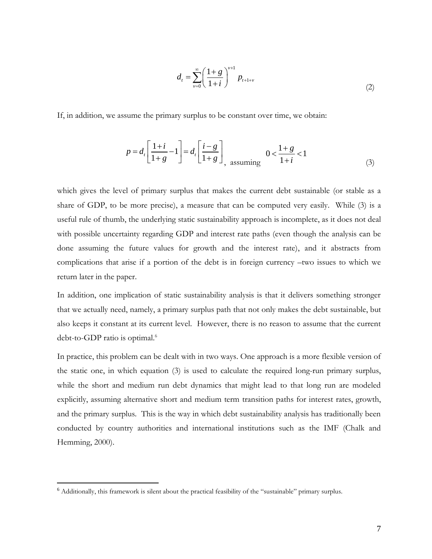$$
d_{t} = \sum_{v=0}^{\infty} \left( \frac{1+g}{1+i} \right)^{v+1} p_{t+1+v}
$$
\n(2)

If, in addition, we assume the primary surplus to be constant over time, we obtain:

$$
p = d_t \left[ \frac{1+i}{1+g} - 1 \right] = d_t \left[ \frac{i-g}{1+g} \right] \quad 0 < \frac{1+g}{1+i} < 1 \tag{3}
$$

which gives the level of primary surplus that makes the current debt sustainable (or stable as a share of GDP, to be more precise), a measure that can be computed very easily. While (3) is a useful rule of thumb, the underlying static sustainability approach is incomplete, as it does not deal with possible uncertainty regarding GDP and interest rate paths (even though the analysis can be done assuming the future values for growth and the interest rate), and it abstracts from complications that arise if a portion of the debt is in foreign currency –two issues to which we return later in the paper.

In addition, one implication of static sustainability analysis is that it delivers something stronger that we actually need, namely, a primary surplus path that not only makes the debt sustainable, but also keeps it constant at its current level. However, there is no reason to assume that the current debt-to-GDP ratio is optimal.<sup>6</sup>

In practice, this problem can be dealt with in two ways. One approach is a more flexible version of the static one, in which equation (3) is used to calculate the required long-run primary surplus, while the short and medium run debt dynamics that might lead to that long run are modeled explicitly, assuming alternative short and medium term transition paths for interest rates, growth, and the primary surplus. This is the way in which debt sustainability analysis has traditionally been conducted by country authorities and international institutions such as the IMF (Chalk and Hemming, 2000).

<sup>6</sup> Additionally, this framework is silent about the practical feasibility of the "sustainable" primary surplus.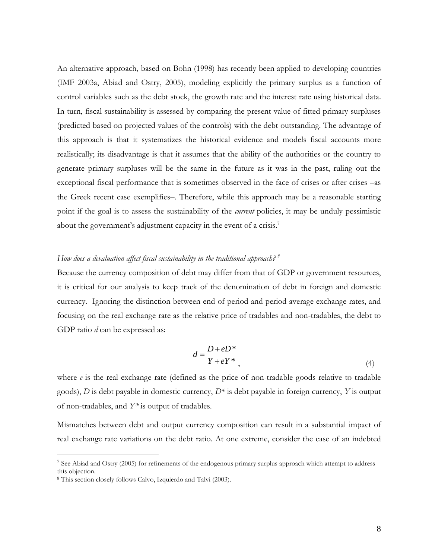An alternative approach, based on Bohn (1998) has recently been applied to developing countries (IMF 2003a, Abiad and Ostry, 2005), modeling explicitly the primary surplus as a function of control variables such as the debt stock, the growth rate and the interest rate using historical data. In turn, fiscal sustainability is assessed by comparing the present value of fitted primary surpluses (predicted based on projected values of the controls) with the debt outstanding. The advantage of this approach is that it systematizes the historical evidence and models fiscal accounts more realistically; its disadvantage is that it assumes that the ability of the authorities or the country to generate primary surpluses will be the same in the future as it was in the past, ruling out the exceptional fiscal performance that is sometimes observed in the face of crises or after crises –as the Greek recent case exemplifies–. Therefore, while this approach may be a reasonable starting point if the goal is to assess the sustainability of the *current* policies, it may be unduly pessimistic about the government's adjustment capacity in the event of a crisis.<sup>7</sup>

#### *How does a devaluation affect fiscal sustainability in the traditional approach? 8*

Because the currency composition of debt may differ from that of GDP or government resources, it is critical for our analysis to keep track of the denomination of debt in foreign and domestic currency. Ignoring the distinction between end of period and period average exchange rates, and focusing on the real exchange rate as the relative price of tradables and non-tradables, the debt to GDP ratio *d* can be expressed as:

$$
d = \frac{D + eD^*}{Y + eY^*},\tag{4}
$$

where *e* is the real exchange rate (defined as the price of non-tradable goods relative to tradable goods), *D* is debt payable in domestic currency, *D\** is debt payable in foreign currency, *Y* is output of non-tradables, and *Y\** is output of tradables.

Mismatches between debt and output currency composition can result in a substantial impact of real exchange rate variations on the debt ratio. At one extreme, consider the case of an indebted

<sup>&</sup>lt;sup>7</sup> See Abiad and Ostry (2005) for refinements of the endogenous primary surplus approach which attempt to address this objection.

<sup>8</sup> This section closely follows Calvo, Izquierdo and Talvi (2003).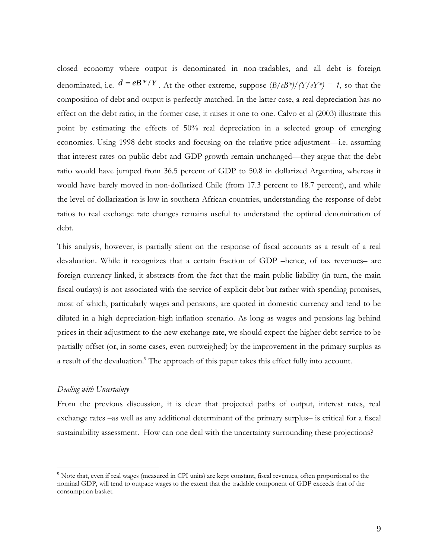closed economy where output is denominated in non-tradables, and all debt is foreign denominated, i.e.  $d = eB^* / Y$ . At the other extreme, suppose  $(B/eB^*) / (Y/eY^*) = 1$ , so that the composition of debt and output is perfectly matched. In the latter case, a real depreciation has no effect on the debt ratio; in the former case, it raises it one to one. Calvo et al (2003) illustrate this point by estimating the effects of 50% real depreciation in a selected group of emerging economies. Using 1998 debt stocks and focusing on the relative price adjustment—i.e. assuming that interest rates on public debt and GDP growth remain unchanged—they argue that the debt ratio would have jumped from 36.5 percent of GDP to 50.8 in dollarized Argentina, whereas it would have barely moved in non-dollarized Chile (from 17.3 percent to 18.7 percent), and while the level of dollarization is low in southern African countries, understanding the response of debt ratios to real exchange rate changes remains useful to understand the optimal denomination of debt.

This analysis, however, is partially silent on the response of fiscal accounts as a result of a real devaluation. While it recognizes that a certain fraction of GDP –hence, of tax revenues– are foreign currency linked, it abstracts from the fact that the main public liability (in turn, the main fiscal outlays) is not associated with the service of explicit debt but rather with spending promises, most of which, particularly wages and pensions, are quoted in domestic currency and tend to be diluted in a high depreciation-high inflation scenario. As long as wages and pensions lag behind prices in their adjustment to the new exchange rate, we should expect the higher debt service to be partially offset (or, in some cases, even outweighed) by the improvement in the primary surplus as a result of the devaluation.<sup>9</sup> The approach of this paper takes this effect fully into account.

#### *Dealing with Uncertainty*

 $\overline{a}$ 

From the previous discussion, it is clear that projected paths of output, interest rates, real exchange rates –as well as any additional determinant of the primary surplus– is critical for a fiscal sustainability assessment. How can one deal with the uncertainty surrounding these projections?

 $9$  Note that, even if real wages (measured in CPI units) are kept constant, fiscal revenues, often proportional to the nominal GDP, will tend to outpace wages to the extent that the tradable component of GDP exceeds that of the consumption basket.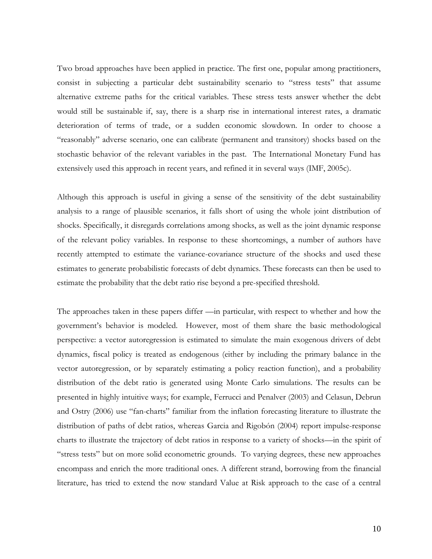Two broad approaches have been applied in practice. The first one, popular among practitioners, consist in subjecting a particular debt sustainability scenario to "stress tests" that assume alternative extreme paths for the critical variables. These stress tests answer whether the debt would still be sustainable if, say, there is a sharp rise in international interest rates, a dramatic deterioration of terms of trade, or a sudden economic slowdown. In order to choose a "reasonably" adverse scenario, one can calibrate (permanent and transitory) shocks based on the stochastic behavior of the relevant variables in the past. The International Monetary Fund has extensively used this approach in recent years, and refined it in several ways (IMF, 2005c).

Although this approach is useful in giving a sense of the sensitivity of the debt sustainability analysis to a range of plausible scenarios, it falls short of using the whole joint distribution of shocks. Specifically, it disregards correlations among shocks, as well as the joint dynamic response of the relevant policy variables. In response to these shortcomings, a number of authors have recently attempted to estimate the variance-covariance structure of the shocks and used these estimates to generate probabilistic forecasts of debt dynamics. These forecasts can then be used to estimate the probability that the debt ratio rise beyond a pre-specified threshold.

The approaches taken in these papers differ —in particular, with respect to whether and how the government's behavior is modeled. However, most of them share the basic methodological perspective: a vector autoregression is estimated to simulate the main exogenous drivers of debt dynamics, fiscal policy is treated as endogenous (either by including the primary balance in the vector autoregression, or by separately estimating a policy reaction function), and a probability distribution of the debt ratio is generated using Monte Carlo simulations. The results can be presented in highly intuitive ways; for example, Ferrucci and Penalver (2003) and Celasun, Debrun and Ostry (2006) use "fan-charts" familiar from the inflation forecasting literature to illustrate the distribution of paths of debt ratios, whereas Garcia and Rigobón (2004) report impulse-response charts to illustrate the trajectory of debt ratios in response to a variety of shocks—in the spirit of "stress tests" but on more solid econometric grounds. To varying degrees, these new approaches encompass and enrich the more traditional ones. A different strand, borrowing from the financial literature, has tried to extend the now standard Value at Risk approach to the case of a central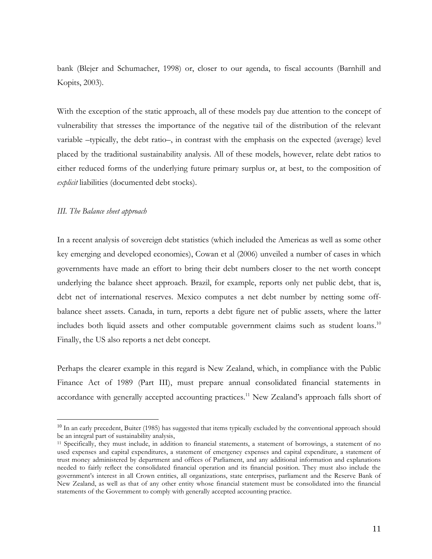bank (Blejer and Schumacher, 1998) or, closer to our agenda, to fiscal accounts (Barnhill and Kopits, 2003).

With the exception of the static approach, all of these models pay due attention to the concept of vulnerability that stresses the importance of the negative tail of the distribution of the relevant variable –typically, the debt ratio–, in contrast with the emphasis on the expected (average) level placed by the traditional sustainability analysis. All of these models, however, relate debt ratios to either reduced forms of the underlying future primary surplus or, at best, to the composition of *explicit* liabilities (documented debt stocks).

#### *III. The Balance sheet approach*

 $\overline{a}$ 

In a recent analysis of sovereign debt statistics (which included the Americas as well as some other key emerging and developed economies), Cowan et al (2006) unveiled a number of cases in which governments have made an effort to bring their debt numbers closer to the net worth concept underlying the balance sheet approach. Brazil, for example, reports only net public debt, that is, debt net of international reserves. Mexico computes a net debt number by netting some offbalance sheet assets. Canada, in turn, reports a debt figure net of public assets, where the latter includes both liquid assets and other computable government claims such as student loans.<sup>10</sup> Finally, the US also reports a net debt concept.

Perhaps the clearer example in this regard is New Zealand, which, in compliance with the Public Finance Act of 1989 (Part III), must prepare annual consolidated financial statements in accordance with generally accepted accounting practices.<sup>11</sup> New Zealand's approach falls short of

<sup>&</sup>lt;sup>10</sup> In an early precedent, Buiter (1985) has suggested that items typically excluded by the conventional approach should be an integral part of sustainability analysis,

<sup>11</sup> Specifically, they must include, in addition to financial statements, a statement of borrowings, a statement of no used expenses and capital expenditures, a statement of emergency expenses and capital expenditure, a statement of trust money administered by department and offices of Parliament, and any additional information and explanations needed to fairly reflect the consolidated financial operation and its financial position. They must also include the government's interest in all Crown entities, all organizations, state enterprises, parliament and the Reserve Bank of New Zealand, as well as that of any other entity whose financial statement must be consolidated into the financial statements of the Government to comply with generally accepted accounting practice.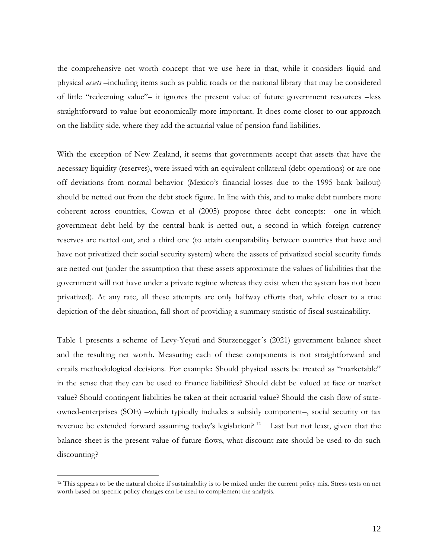the comprehensive net worth concept that we use here in that, while it considers liquid and physical *assets* –including items such as public roads or the national library that may be considered of little "redeeming value"– it ignores the present value of future government resources –less straightforward to value but economically more important. It does come closer to our approach on the liability side, where they add the actuarial value of pension fund liabilities.

With the exception of New Zealand, it seems that governments accept that assets that have the necessary liquidity (reserves), were issued with an equivalent collateral (debt operations) or are one off deviations from normal behavior (Mexico's financial losses due to the 1995 bank bailout) should be netted out from the debt stock figure. In line with this, and to make debt numbers more coherent across countries, Cowan et al (2005) propose three debt concepts: one in which government debt held by the central bank is netted out, a second in which foreign currency reserves are netted out, and a third one (to attain comparability between countries that have and have not privatized their social security system) where the assets of privatized social security funds are netted out (under the assumption that these assets approximate the values of liabilities that the government will not have under a private regime whereas they exist when the system has not been privatized). At any rate, all these attempts are only halfway efforts that, while closer to a true depiction of the debt situation, fall short of providing a summary statistic of fiscal sustainability.

Table 1 presents a scheme of Levy-Yeyati and Sturzenegger´s (2021) government balance sheet and the resulting net worth. Measuring each of these components is not straightforward and entails methodological decisions. For example: Should physical assets be treated as "marketable" in the sense that they can be used to finance liabilities? Should debt be valued at face or market value? Should contingent liabilities be taken at their actuarial value? Should the cash flow of stateowned-enterprises (SOE) –which typically includes a subsidy component–, social security or tax revenue be extended forward assuming today's legislation?<sup>12</sup> Last but not least, given that the balance sheet is the present value of future flows, what discount rate should be used to do such discounting?

 $12$  This appears to be the natural choice if sustainability is to be mixed under the current policy mix. Stress tests on net worth based on specific policy changes can be used to complement the analysis.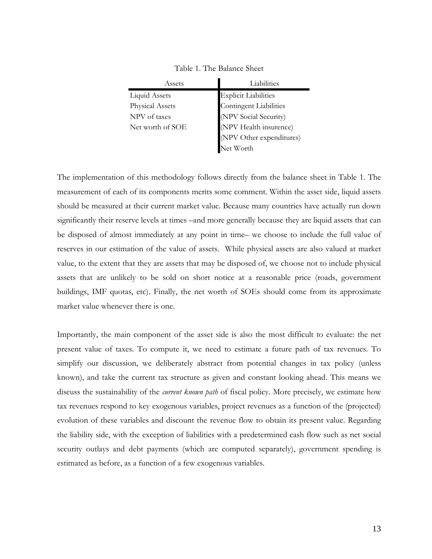| Assets                 | Liabilities                   |  |
|------------------------|-------------------------------|--|
| <b>Liquid Assets</b>   | <b>Explicit Liabilities</b>   |  |
| <b>Physical Assets</b> | <b>Contingent Liabilities</b> |  |
| NPV of taxes           | (NPV Social Security)         |  |
| Net worth of SOE       | (NPV Health insurence)        |  |
|                        | (NPV Other expenditures)      |  |
|                        | Net Worth                     |  |

Table 1. The Balance Sheet

The implementation of this methodology follows directly from the balance sheet in Table 1. The measurement of each of its components merits some comment. Within the asset side, liquid assets should be measured at their current market value. Because many countries have actually run down significantly their reserve levels at times –and more generally because they are liquid assets that can be disposed of almost immediately at any point in time– we choose to include the full value of reserves in our estimation of the value of assets. While physical assets are also valued at market value, to the extent that they are assets that may be disposed of, we choose not to include physical assets that are unlikely to be sold on short notice at a reasonable price (roads, government buildings, IMF quotas, etc). Finally, the net worth of SOEs should come from its approximate market value whenever there is one.

Importantly, the main component of the asset side is also the most difficult to evaluate: the net present value of taxes. To compute it, we need to estimate a future path of tax revenues. To simplify our discussion, we deliberately abstract from potential changes in tax policy (unless known), and take the current tax structure as given and constant looking ahead. This means we discuss the sustainability of the *current known path* of fiscal policy. More precisely, we estimate how tax revenues respond to key exogenous variables, project revenues as a function of the (projected) evolution of these variables and discount the revenue flow to obtain its present value. Regarding the liability side, with the exception of liabilities with a predetermined cash flow such as net social security outlays and debt payments (which are computed separately), government spending is estimated as before, as a function of a few exogenous variables.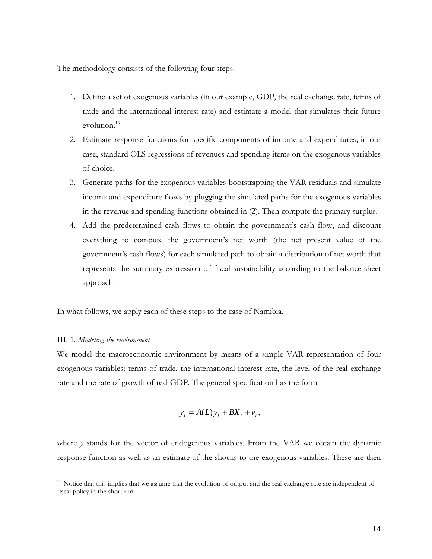The methodology consists of the following four steps:

- 1. Define a set of exogenous variables (in our example, GDP, the real exchange rate, terms of trade and the international interest rate) and estimate a model that simulates their future evolution. 13
- 2. Estimate response functions for specific components of income and expenditures; in our case, standard OLS regressions of revenues and spending items on the exogenous variables of choice.
- 3. Generate paths for the exogenous variables bootstrapping the VAR residuals and simulate income and expenditure flows by plugging the simulated paths for the exogenous variables in the revenue and spending functions obtained in (2). Then compute the primary surplus.
- 4. Add the predetermined cash flows to obtain the government's cash flow, and discount everything to compute the government's net worth (the net present value of the government's cash flows) for each simulated path to obtain a distribution of net worth that represents the summary expression of fiscal sustainability according to the balance-sheet approach.

In what follows, we apply each of these steps to the case of Namibia.

#### III. 1. *Modeling the environment*

 $\overline{a}$ 

We model the macroeconomic environment by means of a simple VAR representation of four exogenous variables: terms of trade, the international interest rate, the level of the real exchange rate and the rate of growth of real GDP. The general specification has the form

$$
y_t = A(L)y_t + BX_t + v_t,
$$

where *y* stands for the vector of endogenous variables. From the VAR we obtain the dynamic response function as well as an estimate of the shocks to the exogenous variables. These are then

<sup>&</sup>lt;sup>13</sup> Notice that this implies that we assume that the evolution of output and the real exchange rate are independent of fiscal policy in the short run.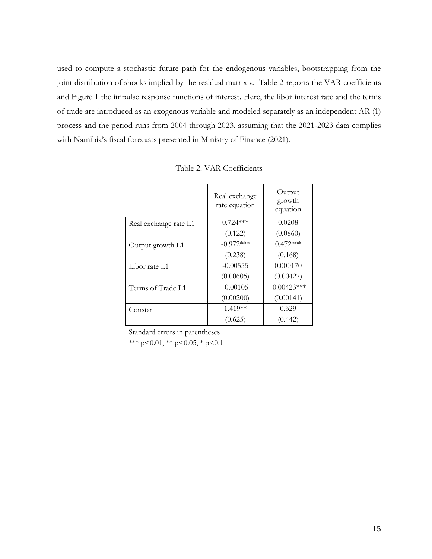used to compute a stochastic future path for the endogenous variables, bootstrapping from the joint distribution of shocks implied by the residual matrix *v*. Table 2 reports the VAR coefficients and Figure 1 the impulse response functions of interest. Here, the libor interest rate and the terms of trade are introduced as an exogenous variable and modeled separately as an independent AR (1) process and the period runs from 2004 through 2023, assuming that the 2021-2023 data complies with Namibia's fiscal forecasts presented in Ministry of Finance (2021).

|                       | Real exchange<br>rate equation | Output<br>growth<br>equation |
|-----------------------|--------------------------------|------------------------------|
| Real exchange rate L1 | $0.724***$                     | 0.0208                       |
|                       | (0.122)                        | (0.0860)                     |
| Output growth L1      | $-0.972***$                    | $0.472***$                   |
|                       | (0.238)                        | (0.168)                      |
| Libor rate L1         | $-0.00555$                     | 0.000170                     |
|                       | (0.00605)                      | (0.00427)                    |
| Terms of Trade L1     | $-0.00105$                     | $-0.00423***$                |
|                       | (0.00200)                      | (0.00141)                    |
| Constant              | 1.419**                        | 0.329                        |
|                       | (0.625)                        | (0.442)                      |

Table 2. VAR Coefficients

Standard errors in parentheses

\*\*\* p<0.01, \*\* p<0.05, \* p<0.1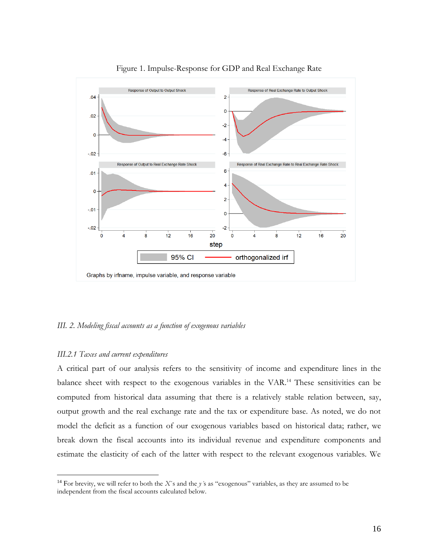

#### Figure 1. Impulse-Response for GDP and Real Exchange Rate

#### *III. 2. Modeling fiscal accounts as a function of exogenous variables*

#### *III.2.1 Taxes and current expenditures*

 $\overline{a}$ 

A critical part of our analysis refers to the sensitivity of income and expenditure lines in the balance sheet with respect to the exogenous variables in the VAR.<sup>14</sup> These sensitivities can be computed from historical data assuming that there is a relatively stable relation between, say, output growth and the real exchange rate and the tax or expenditure base. As noted, we do not model the deficit as a function of our exogenous variables based on historical data; rather, we break down the fiscal accounts into its individual revenue and expenditure components and estimate the elasticity of each of the latter with respect to the relevant exogenous variables. We

<sup>14</sup> For brevity, we will refer to both the *X*´s and the *y´*s as "exogenous" variables, as they are assumed to be independent from the fiscal accounts calculated below.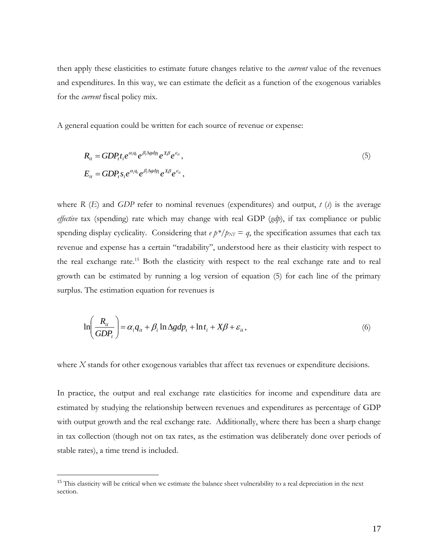then apply these elasticities to estimate future changes relative to the *current* value of the revenues and expenditures. In this way, we can estimate the deficit as a function of the exogenous variables for the *current* fiscal policy mix.

A general equation could be written for each source of revenue or expense:

$$
R_{it} = GDP_{t}t_{i}e^{\alpha_{i}q_{t}}e^{\beta_{i}\Delta gdp_{t}}e^{\chi\beta}e^{\epsilon_{it}},
$$
  
\n
$$
E_{it} = GDP_{t}s_{i}e^{\alpha_{i}q_{t}}e^{\beta_{i}\Delta gdp_{t}}e^{\chi\beta}e^{\epsilon_{it}},
$$
\n
$$
(5)
$$

where *R* (*E*) and *GDP* refer to nominal revenues (expenditures) and output,  $t(s)$  is the average *effective* tax (spending) rate which may change with real GDP (*gdp*), if tax compliance or public spending display cyclicality. Considering that  $e p*/p_{NT} = q$ , the specification assumes that each tax revenue and expense has a certain "tradability", understood here as their elasticity with respect to the real exchange rate.<sup>15</sup> Both the elasticity with respect to the real exchange rate and to real growth can be estimated by running a log version of equation (5) for each line of the primary surplus. The estimation equation for revenues is

$$
\ln\left(\frac{R_{it}}{GDP_t}\right) = \alpha_i q_{it} + \beta_i \ln \Delta g dp_t + \ln t_i + X\beta + \varepsilon_{it},
$$
\n(6)

where *X* stands for other exogenous variables that affect tax revenues or expenditure decisions.

In practice, the output and real exchange rate elasticities for income and expenditure data are estimated by studying the relationship between revenues and expenditures as percentage of GDP with output growth and the real exchange rate. Additionally, where there has been a sharp change in tax collection (though not on tax rates, as the estimation was deliberately done over periods of stable rates), a time trend is included.

<sup>&</sup>lt;sup>15</sup> This elasticity will be critical when we estimate the balance sheet vulnerability to a real depreciation in the next section.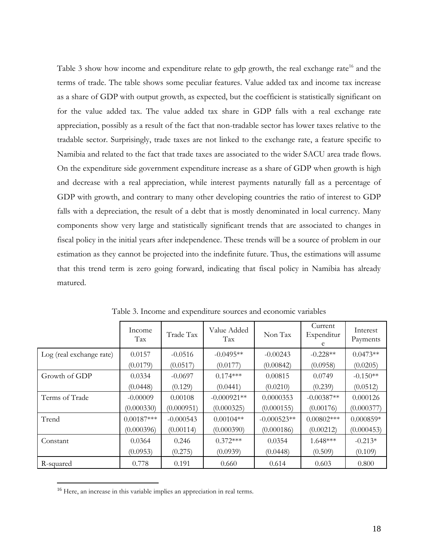Table 3 show how income and expenditure relate to gdp growth, the real exchange rate<sup>16</sup> and the terms of trade. The table shows some peculiar features. Value added tax and income tax increase as a share of GDP with output growth, as expected, but the coefficient is statistically significant on for the value added tax. The value added tax share in GDP falls with a real exchange rate appreciation, possibly as a result of the fact that non-tradable sector has lower taxes relative to the tradable sector. Surprisingly, trade taxes are not linked to the exchange rate, a feature specific to Namibia and related to the fact that trade taxes are associated to the wider SACU area trade flows. On the expenditure side government expenditure increase as a share of GDP when growth is high and decrease with a real appreciation, while interest payments naturally fall as a percentage of GDP with growth, and contrary to many other developing countries the ratio of interest to GDP falls with a depreciation, the result of a debt that is mostly denominated in local currency. Many components show very large and statistically significant trends that are associated to changes in fiscal policy in the initial years after independence. These trends will be a source of problem in our estimation as they cannot be projected into the indefinite future. Thus, the estimations will assume that this trend term is zero going forward, indicating that fiscal policy in Namibia has already matured.

|                          | Income<br>Tax | Trade Tax   | Value Added<br>Tax | Non Tax       | Current<br>Expenditur<br>e | Interest<br>Payments |
|--------------------------|---------------|-------------|--------------------|---------------|----------------------------|----------------------|
| Log (real exchange rate) | 0.0157        | $-0.0516$   | $-0.0495**$        | $-0.00243$    | $-0.228**$                 | $0.0473**$           |
|                          | (0.0179)      | (0.0517)    | (0.0177)           | (0.00842)     | (0.0958)                   | (0.0205)             |
| Growth of GDP            | 0.0334        | $-0.0697$   | $0.174***$         | 0.00815       | 0.0749                     | $-0.150**$           |
|                          | (0.0448)      | (0.129)     | (0.0441)           | (0.0210)      | (0.239)                    | (0.0512)             |
| Terms of Trade           | $-0.00009$    | 0.00108     | $-0.000921**$      | 0.0000353     | $-0.00387**$               | 0.000126             |
|                          | (0.000330)    | (0.000951)  | (0.000325)         | (0.000155)    | (0.00176)                  | (0.000377)           |
| Trend                    | $0.00187***$  | $-0.000543$ | $0.00104**$        | $-0.000523**$ | $0.00802$ ***              | $0.000859*$          |
|                          | (0.000396)    | (0.00114)   | (0.000390)         | (0.000186)    | (0.00212)                  | (0.000453)           |
| Constant                 | 0.0364        | 0.246       | $0.372***$         | 0.0354        | $1.648***$                 | $-0.213*$            |
|                          | (0.0953)      | (0.275)     | (0.0939)           | (0.0448)      | (0.509)                    | (0.109)              |
| R-squared                | 0.778         | 0.191       | 0.660              | 0.614         | 0.603                      | 0.800                |

Table 3. Income and expenditure sources and economic variables

<sup>&</sup>lt;sup>16</sup> Here, an increase in this variable implies an appreciation in real terms.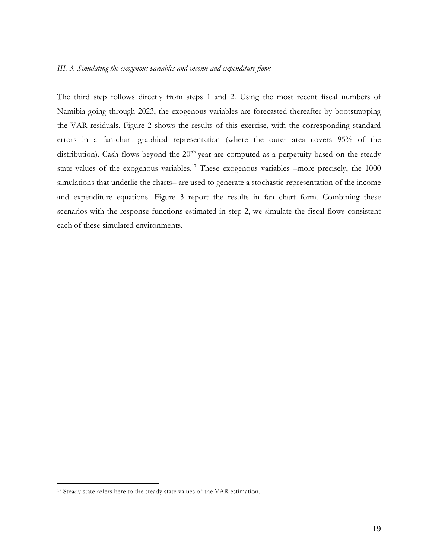The third step follows directly from steps 1 and 2. Using the most recent fiscal numbers of Namibia going through 2023, the exogenous variables are forecasted thereafter by bootstrapping the VAR residuals. Figure 2 shows the results of this exercise, with the corresponding standard errors in a fan-chart graphical representation (where the outer area covers 95% of the distribution). Cash flows beyond the  $20<sup>th</sup>$  year are computed as a perpetuity based on the steady state values of the exogenous variables.<sup>17</sup> These exogenous variables –more precisely, the 1000 simulations that underlie the charts– are used to generate a stochastic representation of the income and expenditure equations. Figure 3 report the results in fan chart form. Combining these scenarios with the response functions estimated in step 2, we simulate the fiscal flows consistent each of these simulated environments.

<sup>&</sup>lt;sup>17</sup> Steady state refers here to the steady state values of the VAR estimation.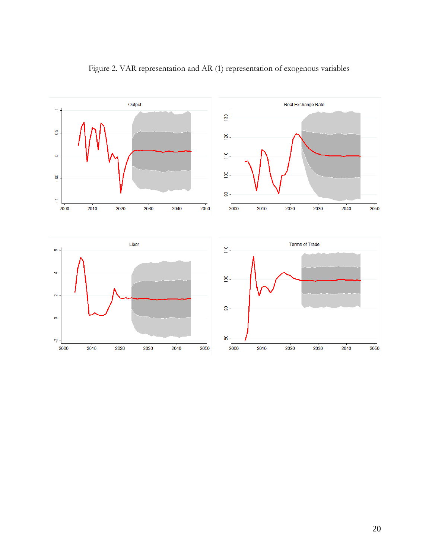

## Figure 2. VAR representation and AR (1) representation of exogenous variables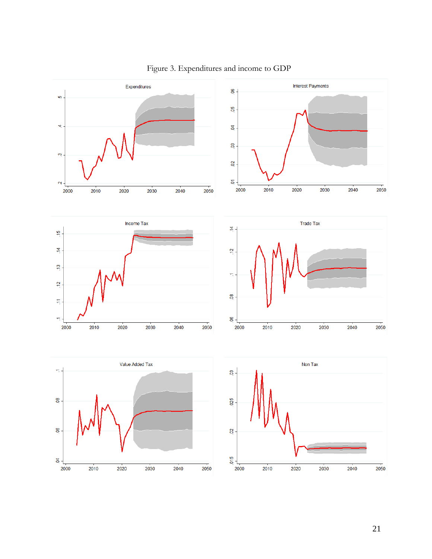

## Figure 3. Expenditures and income to GDP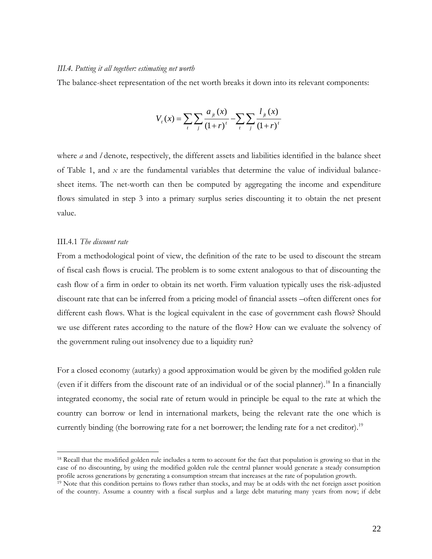#### *III.4. Putting it all together: estimating net worth*

The balance-sheet representation of the net worth breaks it down into its relevant components:

$$
V_{t}(x) = \sum_{t} \sum_{j} \frac{a_{jt}(x)}{(1+r)^{t}} - \sum_{t} \sum_{j} \frac{l_{jt}(x)}{(1+r)^{t}}
$$

where *a* and *l* denote, respectively, the different assets and liabilities identified in the balance sheet of Table 1, and *x* are the fundamental variables that determine the value of individual balancesheet items. The net-worth can then be computed by aggregating the income and expenditure flows simulated in step 3 into a primary surplus series discounting it to obtain the net present value.

#### III.4.1 *The discount rate*

 $\overline{a}$ 

From a methodological point of view, the definition of the rate to be used to discount the stream of fiscal cash flows is crucial. The problem is to some extent analogous to that of discounting the cash flow of a firm in order to obtain its net worth. Firm valuation typically uses the risk-adjusted discount rate that can be inferred from a pricing model of financial assets –often different ones for different cash flows. What is the logical equivalent in the case of government cash flows? Should we use different rates according to the nature of the flow? How can we evaluate the solvency of the government ruling out insolvency due to a liquidity run?

For a closed economy (autarky) a good approximation would be given by the modified golden rule (even if it differs from the discount rate of an individual or of the social planner).<sup>18</sup> In a financially integrated economy, the social rate of return would in principle be equal to the rate at which the country can borrow or lend in international markets, being the relevant rate the one which is currently binding (the borrowing rate for a net borrower; the lending rate for a net creditor).<sup>19</sup>

<sup>&</sup>lt;sup>18</sup> Recall that the modified golden rule includes a term to account for the fact that population is growing so that in the case of no discounting, by using the modified golden rule the central planner would generate a steady consumption profile across generations by generating a consumption stream that increases at the rate of population growth.

<sup>&</sup>lt;sup>19</sup> Note that this condition pertains to flows rather than stocks, and may be at odds with the net foreign asset position of the country. Assume a country with a fiscal surplus and a large debt maturing many years from now; if debt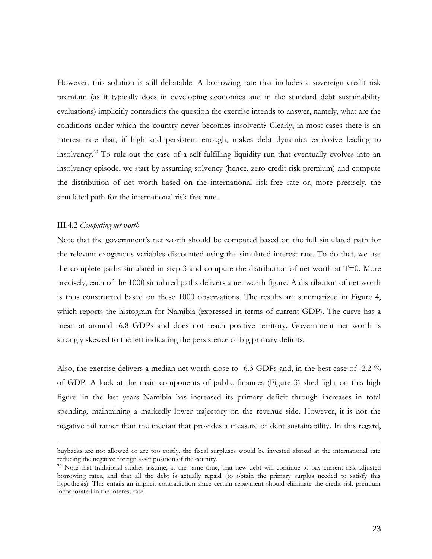However, this solution is still debatable. A borrowing rate that includes a sovereign credit risk premium (as it typically does in developing economies and in the standard debt sustainability evaluations) implicitly contradicts the question the exercise intends to answer, namely, what are the conditions under which the country never becomes insolvent? Clearly, in most cases there is an interest rate that, if high and persistent enough, makes debt dynamics explosive leading to insolvency.<sup>20</sup> To rule out the case of a self-fulfilling liquidity run that eventually evolves into an insolvency episode, we start by assuming solvency (hence, zero credit risk premium) and compute the distribution of net worth based on the international risk-free rate or, more precisely, the simulated path for the international risk-free rate.

#### III.4.2 *Computing net worth*

 $\overline{a}$ 

Note that the government's net worth should be computed based on the full simulated path for the relevant exogenous variables discounted using the simulated interest rate. To do that, we use the complete paths simulated in step 3 and compute the distribution of net worth at  $T=0$ . More precisely, each of the 1000 simulated paths delivers a net worth figure. A distribution of net worth is thus constructed based on these 1000 observations. The results are summarized in Figure 4, which reports the histogram for Namibia (expressed in terms of current GDP). The curve has a mean at around -6.8 GDPs and does not reach positive territory. Government net worth is strongly skewed to the left indicating the persistence of big primary deficits.

Also, the exercise delivers a median net worth close to -6.3 GDPs and, in the best case of -2.2 % of GDP. A look at the main components of public finances (Figure 3) shed light on this high figure: in the last years Namibia has increased its primary deficit through increases in total spending, maintaining a markedly lower trajectory on the revenue side. However, it is not the negative tail rather than the median that provides a measure of debt sustainability. In this regard,

buybacks are not allowed or are too costly, the fiscal surpluses would be invested abroad at the international rate reducing the negative foreign asset position of the country.

 $20$  Note that traditional studies assume, at the same time, that new debt will continue to pay current risk-adjusted borrowing rates, and that all the debt is actually repaid (to obtain the primary surplus needed to satisfy this hypothesis). This entails an implicit contradiction since certain repayment should eliminate the credit risk premium incorporated in the interest rate.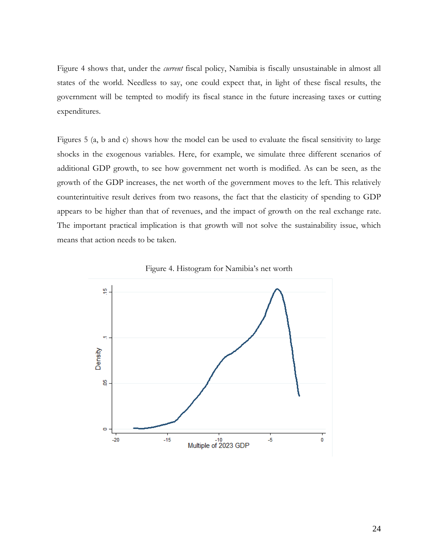Figure 4 shows that, under the *current* fiscal policy, Namibia is fiscally unsustainable in almost all states of the world. Needless to say, one could expect that, in light of these fiscal results, the government will be tempted to modify its fiscal stance in the future increasing taxes or cutting expenditures.

Figures 5 (a, b and c) shows how the model can be used to evaluate the fiscal sensitivity to large shocks in the exogenous variables. Here, for example, we simulate three different scenarios of additional GDP growth, to see how government net worth is modified. As can be seen, as the growth of the GDP increases, the net worth of the government moves to the left. This relatively counterintuitive result derives from two reasons, the fact that the elasticity of spending to GDP appears to be higher than that of revenues, and the impact of growth on the real exchange rate. The important practical implication is that growth will not solve the sustainability issue, which means that action needs to be taken.



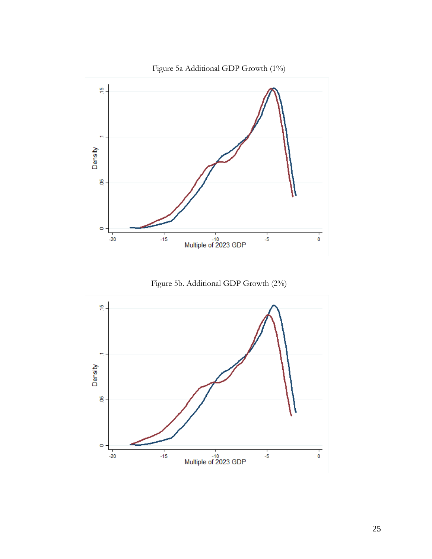

Figure 5b. Additional GDP Growth (2%)

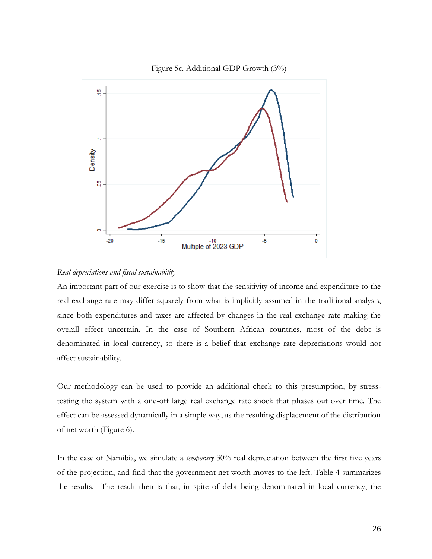

#### Figure 5c. Additional GDP Growth (3%)

#### *Real depreciations and fiscal sustainability*

An important part of our exercise is to show that the sensitivity of income and expenditure to the real exchange rate may differ squarely from what is implicitly assumed in the traditional analysis, since both expenditures and taxes are affected by changes in the real exchange rate making the overall effect uncertain. In the case of Southern African countries, most of the debt is denominated in local currency, so there is a belief that exchange rate depreciations would not affect sustainability.

Our methodology can be used to provide an additional check to this presumption, by stresstesting the system with a one-off large real exchange rate shock that phases out over time. The effect can be assessed dynamically in a simple way, as the resulting displacement of the distribution of net worth (Figure 6).

In the case of Namibia, we simulate a *temporary* 30% real depreciation between the first five years of the projection, and find that the government net worth moves to the left. Table 4 summarizes the results. The result then is that, in spite of debt being denominated in local currency, the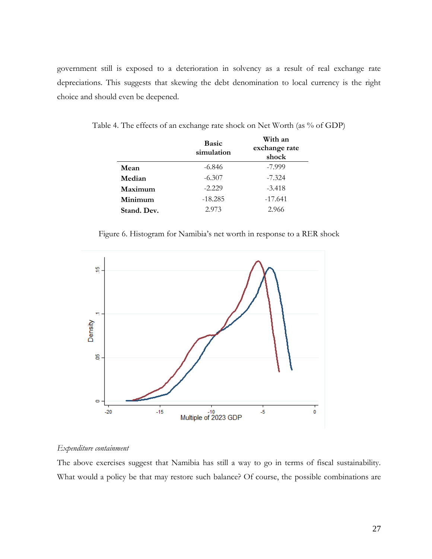government still is exposed to a deterioration in solvency as a result of real exchange rate depreciations. This suggests that skewing the debt denomination to local currency is the right choice and should even be deepened.

|             | <b>Basic</b><br>simulation | With an<br>exchange rate<br>shock |
|-------------|----------------------------|-----------------------------------|
| Mean        | $-6.846$                   | -7.999                            |
| Median      | $-6.307$                   | $-7.324$                          |
| Maximum     | $-2.229$                   | $-3.418$                          |
| Minimum     | $-18.285$                  | $-17.641$                         |
| Stand. Dev. | 2.973                      | 2.966                             |

Table 4. The effects of an exchange rate shock on Net Worth (as % of GDP)

Figure 6. Histogram for Namibia's net worth in response to a RER shock



#### *Expenditure containment*

The above exercises suggest that Namibia has still a way to go in terms of fiscal sustainability. What would a policy be that may restore such balance? Of course, the possible combinations are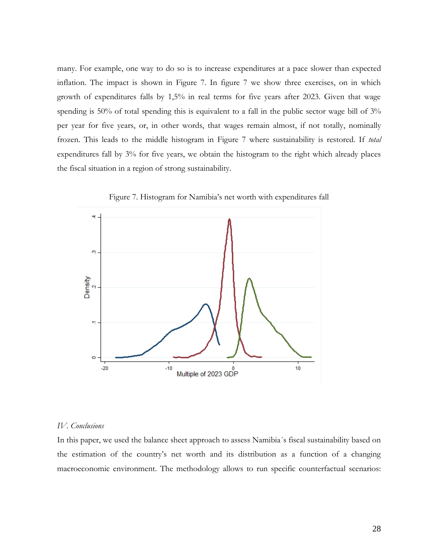many. For example, one way to do so is to increase expenditures at a pace slower than expected inflation. The impact is shown in Figure 7. In figure 7 we show three exercises, on in which growth of expenditures falls by 1,5% in real terms for five years after 2023. Given that wage spending is 50% of total spending this is equivalent to a fall in the public sector wage bill of 3% per year for five years, or, in other words, that wages remain almost, if not totally, nominally frozen. This leads to the middle histogram in Figure 7 where sustainability is restored. If *total* expenditures fall by 3% for five years, we obtain the histogram to the right which already places the fiscal situation in a region of strong sustainability.



Figure 7. Histogram for Namibia's net worth with expenditures fall

#### *IV. Conclusions*

In this paper, we used the balance sheet approach to assess Namibia´s fiscal sustainability based on the estimation of the country's net worth and its distribution as a function of a changing macroeconomic environment. The methodology allows to run specific counterfactual scenarios: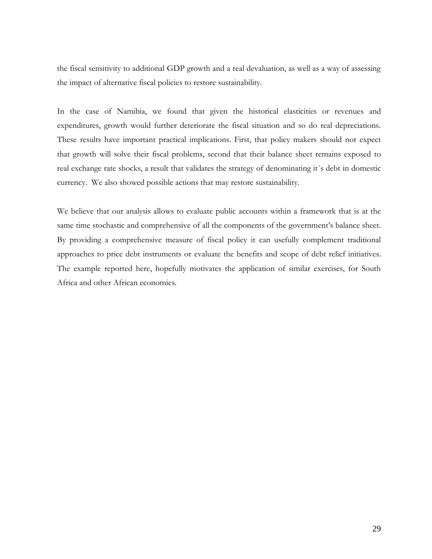the fiscal sensitivity to additional GDP growth and a real devaluation, as well as a way of assessing the impact of alternative fiscal policies to restore sustainability.

In the case of Namibia, we found that given the historical elasticities or revenues and expenditures, growth would further deteriorate the fiscal situation and so do real depreciations. These results have important practical implications. First, that policy makers should not expect that growth will solve their fiscal problems, second that their balance sheet remains exposed to real exchange rate shocks, a result that validates the strategy of denominating it´s debt in domestic currency. We also showed possible actions that may restore sustainability.

We believe that our analysis allows to evaluate public accounts within a framework that is at the same time stochastic and comprehensive of all the components of the government's balance sheet. By providing a comprehensive measure of fiscal policy it can usefully complement traditional approaches to price debt instruments or evaluate the benefits and scope of debt relief initiatives. The example reported here, hopefully motivates the application of similar exercises, for South Africa and other African economies.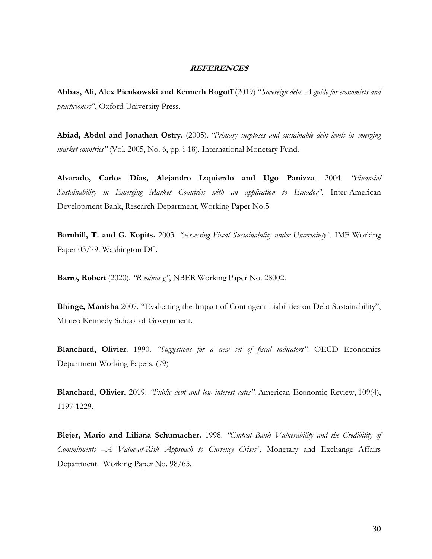#### **REFERENCES**

**Abbas, Ali, Alex Pienkowski and Kenneth Rogoff** (2019) "*Sovereign debt. A guide for economists and practicioners*", Oxford University Press.

**Abiad, Abdul and Jonathan Ostry.** (2005). *"Primary surpluses and sustainable debt levels in emerging market countries"* (Vol. 2005, No. 6, pp. i-18). International Monetary Fund.

**Alvarado, Carlos Días, Alejandro Izquierdo and Ugo Panizza**. 2004. *"Financial Sustainability in Emerging Market Countries with an application to Ecuador".* Inter-American Development Bank, Research Department, Working Paper No.5

**Barnhill, T. and G. Kopits.** 2003. *"Assessing Fiscal Sustainability under Uncertainty".* IMF Working Paper 03/79. Washington DC.

**Barro, Robert** (2020). *"R minus g"*, NBER Working Paper No. 28002.

**Bhinge, Manisha** 2007. "Evaluating the Impact of Contingent Liabilities on Debt Sustainability", Mimeo Kennedy School of Government.

**Blanchard, Olivier.** 1990. *"Suggestions for a new set of fiscal indicators"*. OECD Economics Department Working Papers, (79)

**Blanchard, Olivier.** 2019. *"Public debt and low interest rates"*. American Economic Review, 109(4), 1197-1229.

**Blejer, Mario and Liliana Schumacher.** 1998. *"Central Bank Vulnerability and the Credibility of Commitments –A Value-at-Risk Approach to Currency Crises".* Monetary and Exchange Affairs Department. Working Paper No. 98/65.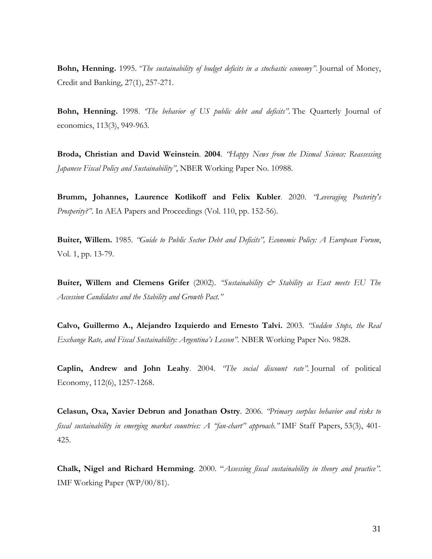**Bohn, Henning.** 1995. "*The sustainability of budget deficits in a stochastic economy"*. Journal of Money, Credit and Banking, 27(1), 257-271.

**Bohn, Henning.** 1998. *"The behavior of US public debt and deficits"*. The Quarterly Journal of economics, 113(3), 949-963.

**Broda, Christian and David Weinstein**. **2004**. *"Happy News from the Dismal Science: Reassessing Japanese Fiscal Policy and Sustainability"*, NBER Working Paper No. 10988.

**Brumm, Johannes, Laurence Kotlikoff and Felix Kubler**. 2020. *"Leveraging Posterity's Prosperity?"*. In AEA Papers and Proceedings (Vol. 110, pp. 152-56).

**Buiter, Willem.** 1985. *"Guide to Public Sector Debt and Deficits", Economic Policy: A European Forum*, Vol. 1, pp. 13-79.

**Buiter, Willem and Clemens Grifer** (2002). *"Sustainability & Stability as East meets EU The Accession Candidates and the Stability and Growth Pact."*

**Calvo, Guillermo A., Alejandro Izquierdo and Ernesto Talvi.** 2003. *"Sudden Stops, the Real Exchange Rate, and Fiscal Sustainability: Argentina's Lesson".* NBER Working Paper No. 9828.

**Caplin, Andrew and John Leahy**. 2004. *"The social discount rate".* Journal of political Economy, 112(6), 1257-1268.

**Celasun, Oxa, Xavier Debrun and Jonathan Ostry**. 2006. *"Primary surplus behavior and risks to fiscal sustainability in emerging market countries: A "fan-chart" approach."* IMF Staff Papers, 53(3), 401- 425.

**Chalk, Nigel and Richard Hemming**. 2000. "*Assessing fiscal sustainability in theory and practice"*. IMF Working Paper (WP/00/81).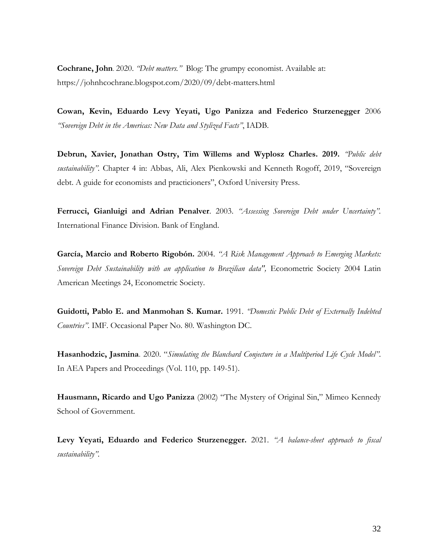**Cochrane, John**. 2020. *"Debt matters."* Blog: The grumpy economist. Available at: https://johnhcochrane.blogspot.com/2020/09/debt-matters.html

**Cowan, Kevin, Eduardo Levy Yeyati, Ugo Panizza and Federico Sturzenegger** 2006 *"Sovereign Debt in the Americas: New Data and Stylized Facts"*, IADB.

**Debrun, Xavier, Jonathan Ostry, Tim Willems and Wyplosz Charles. 2019.** *"Public debt sustainability".* Chapter 4 in: Abbas, Ali, Alex Pienkowski and Kenneth Rogoff, 2019, "Sovereign debt. A guide for economists and practicioners", Oxford University Press.

**Ferrucci, Gianluigi and Adrian Penalver**. 2003. *"Assessing Sovereign Debt under Uncertainty".* International Finance Division. Bank of England.

**García, Marcio and Roberto Rigobón.** 2004. *"A Risk Management Approach to Emerging Markets: Sovereign Debt Sustainability with an application to Brazilian data",* [Econometric Society 2004 Latin](http://ideas.repec.org/s/ecm/latm04.html)  [American Meetings](http://ideas.repec.org/s/ecm/latm04.html) 24, Econometric Society.

**Guidotti, Pablo E. and Manmohan S. Kumar.** 1991. *"Domestic Public Debt of Externally Indebted Countries"*. IMF. Occasional Paper No. 80. Washington DC.

**Hasanhodzic, Jasmina**. 2020. "*Simulating the Blanchard Conjecture in a Multiperiod Life Cycle Model"*. In AEA Papers and Proceedings (Vol. 110, pp. 149-51).

**Hausmann, Ricardo and Ugo Panizza** (2002) "The Mystery of Original Sin," Mimeo Kennedy School of Government.

**Levy Yeyati, Eduardo and Federico Sturzenegger.** 2021. *"A balance-sheet approach to fiscal sustainability".*